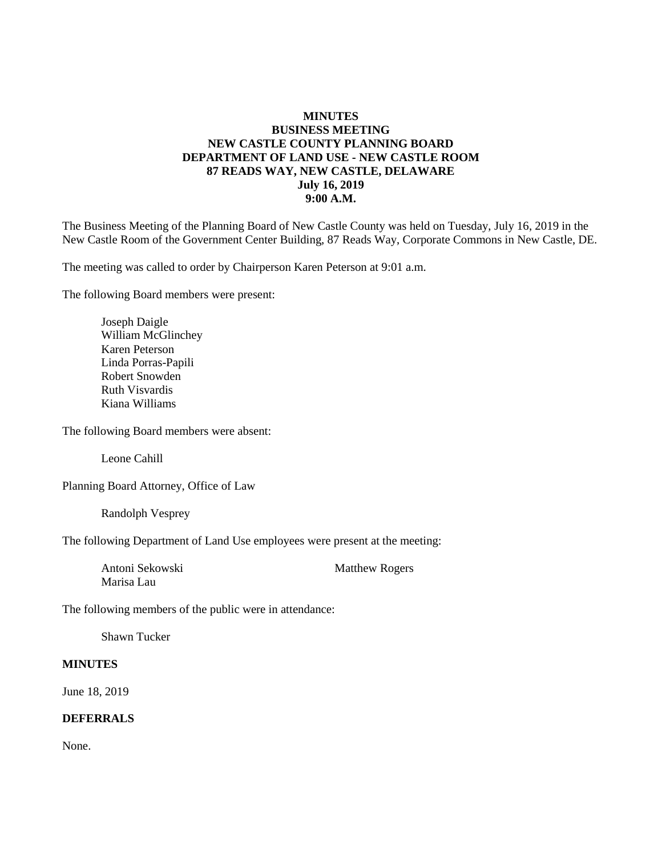### **MINUTES BUSINESS MEETING NEW CASTLE COUNTY PLANNING BOARD DEPARTMENT OF LAND USE - NEW CASTLE ROOM 87 READS WAY, NEW CASTLE, DELAWARE July 16, 2019 9:00 A.M.**

The Business Meeting of the Planning Board of New Castle County was held on Tuesday, July 16, 2019 in the New Castle Room of the Government Center Building, 87 Reads Way, Corporate Commons in New Castle, DE.

The meeting was called to order by Chairperson Karen Peterson at 9:01 a.m.

The following Board members were present:

Joseph Daigle William McGlinchey Karen Peterson Linda Porras-Papili Robert Snowden Ruth Visvardis Kiana Williams

The following Board members were absent:

Leone Cahill

Planning Board Attorney, Office of Law

Randolph Vesprey

The following Department of Land Use employees were present at the meeting:

Marisa Lau

Antoni Sekowski Matthew Rogers

The following members of the public were in attendance:

Shawn Tucker

#### **MINUTES**

June 18, 2019

### **DEFERRALS**

None.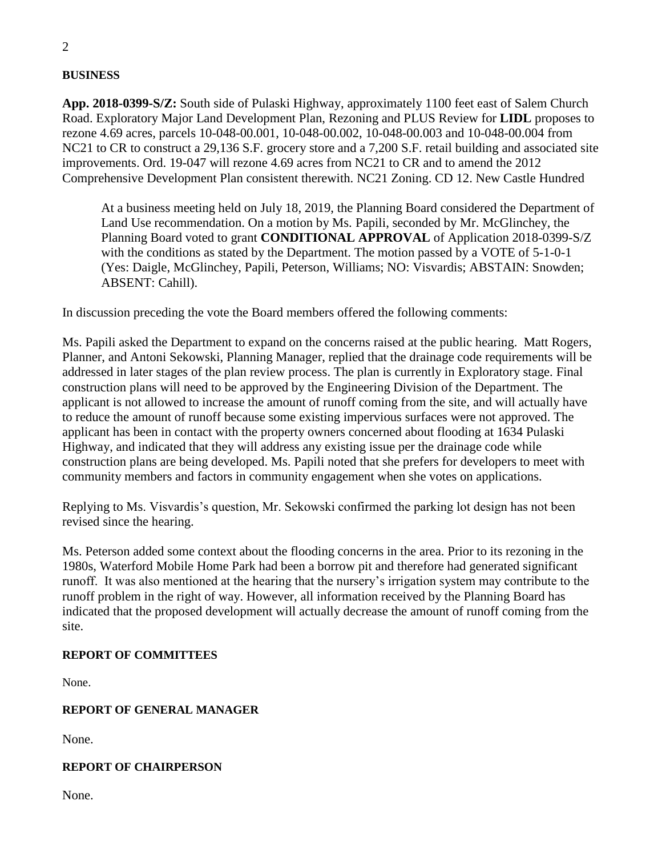**BUSINESS**

**App. 2018-0399-S/Z:** South side of Pulaski Highway, approximately 1100 feet east of Salem Church Road. Exploratory Major Land Development Plan, Rezoning and PLUS Review for **LIDL** proposes to rezone 4.69 acres, parcels 10-048-00.001, 10-048-00.002, 10-048-00.003 and 10-048-00.004 from NC21 to CR to construct a 29,136 S.F. grocery store and a 7,200 S.F. retail building and associated site improvements. Ord. 19-047 will rezone 4.69 acres from NC21 to CR and to amend the 2012 Comprehensive Development Plan consistent therewith. NC21 Zoning. CD 12. New Castle Hundred

At a business meeting held on July 18, 2019, the Planning Board considered the Department of Land Use recommendation. On a motion by Ms. Papili, seconded by Mr. McGlinchey, the Planning Board voted to grant **CONDITIONAL APPROVAL** of Application 2018-0399-S/Z with the conditions as stated by the Department. The motion passed by a VOTE of 5-1-0-1 (Yes: Daigle, McGlinchey, Papili, Peterson, Williams; NO: Visvardis; ABSTAIN: Snowden; ABSENT: Cahill).

In discussion preceding the vote the Board members offered the following comments:

Ms. Papili asked the Department to expand on the concerns raised at the public hearing. Matt Rogers, Planner, and Antoni Sekowski, Planning Manager, replied that the drainage code requirements will be addressed in later stages of the plan review process. The plan is currently in Exploratory stage. Final construction plans will need to be approved by the Engineering Division of the Department. The applicant is not allowed to increase the amount of runoff coming from the site, and will actually have to reduce the amount of runoff because some existing impervious surfaces were not approved. The applicant has been in contact with the property owners concerned about flooding at 1634 Pulaski Highway, and indicated that they will address any existing issue per the drainage code while construction plans are being developed. Ms. Papili noted that she prefers for developers to meet with community members and factors in community engagement when she votes on applications.

Replying to Ms. Visvardis's question, Mr. Sekowski confirmed the parking lot design has not been revised since the hearing.

Ms. Peterson added some context about the flooding concerns in the area. Prior to its rezoning in the 1980s, Waterford Mobile Home Park had been a borrow pit and therefore had generated significant runoff. It was also mentioned at the hearing that the nursery's irrigation system may contribute to the runoff problem in the right of way. However, all information received by the Planning Board has indicated that the proposed development will actually decrease the amount of runoff coming from the site.

# **REPORT OF COMMITTEES**

None.

### **REPORT OF GENERAL MANAGER**

None.

### **REPORT OF CHAIRPERSON**

None.